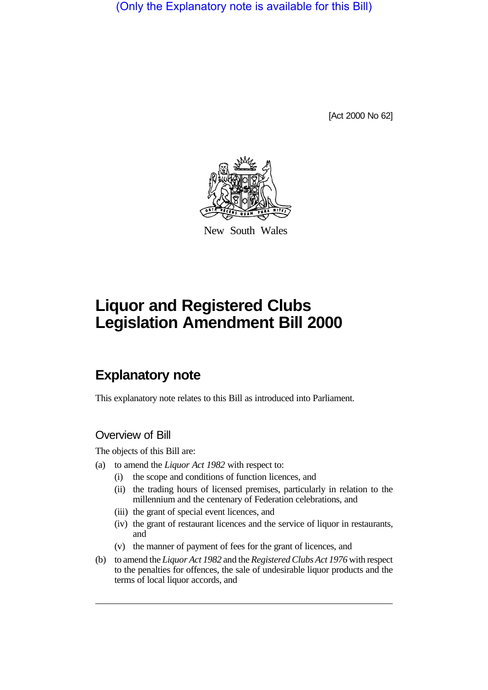(Only the Explanatory note is available for this Bill)

[Act 2000 No 62]



New South Wales

# **Liquor and Registered Clubs Legislation Amendment Bill 2000**

## **Explanatory note**

This explanatory note relates to this Bill as introduced into Parliament.

### Overview of Bill

The objects of this Bill are:

- (a) to amend the *Liquor Act 1982* with respect to:
	- (i) the scope and conditions of function licences, and
	- (ii) the trading hours of licensed premises, particularly in relation to the millennium and the centenary of Federation celebrations, and
	- (iii) the grant of special event licences, and
	- (iv) the grant of restaurant licences and the service of liquor in restaurants, and
	- (v) the manner of payment of fees for the grant of licences, and
- (b) to amend the *Liquor Act 1982* and the *Registered Clubs Act 1976* with respect to the penalties for offences, the sale of undesirable liquor products and the terms of local liquor accords, and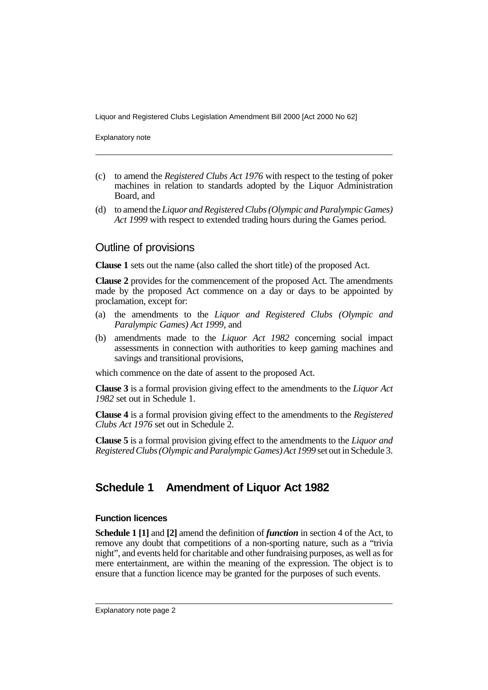Explanatory note

- (c) to amend the *Registered Clubs Act 1976* with respect to the testing of poker machines in relation to standards adopted by the Liquor Administration Board, and
- (d) to amend the *Liquor and Registered Clubs (Olympic and Paralympic Games) Act 1999* with respect to extended trading hours during the Games period.

### Outline of provisions

**Clause 1** sets out the name (also called the short title) of the proposed Act.

**Clause 2** provides for the commencement of the proposed Act. The amendments made by the proposed Act commence on a day or days to be appointed by proclamation, except for:

- (a) the amendments to the *Liquor and Registered Clubs (Olympic and Paralympic Games) Act 1999*, and
- (b) amendments made to the *Liquor Act 1982* concerning social impact assessments in connection with authorities to keep gaming machines and savings and transitional provisions,

which commence on the date of assent to the proposed Act.

**Clause 3** is a formal provision giving effect to the amendments to the *Liquor Act 1982* set out in Schedule 1.

**Clause 4** is a formal provision giving effect to the amendments to the *Registered Clubs Act 1976* set out in Schedule 2.

**Clause 5** is a formal provision giving effect to the amendments to the *Liquor and Registered Clubs (Olympic and Paralympic Games) Act 1999* set out in Schedule 3.

## **Schedule 1 Amendment of Liquor Act 1982**

#### **Function licences**

**Schedule 1 [1]** and **[2]** amend the definition of *function* in section 4 of the Act, to remove any doubt that competitions of a non-sporting nature, such as a "trivia night", and events held for charitable and other fundraising purposes, as well as for mere entertainment, are within the meaning of the expression. The object is to ensure that a function licence may be granted for the purposes of such events.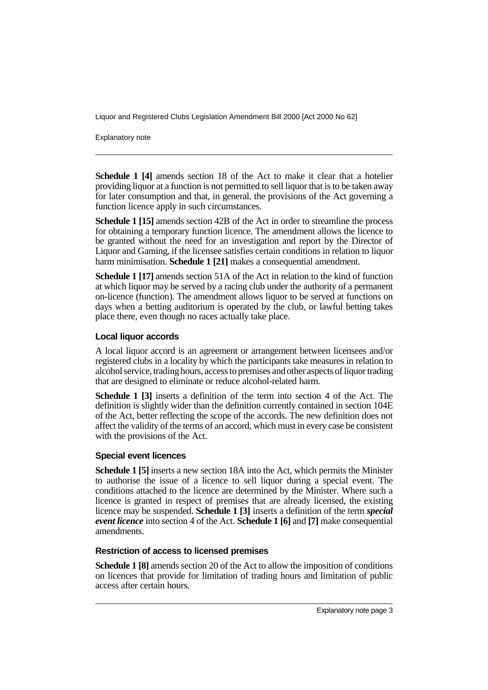Explanatory note

**Schedule 1 [4]** amends section 18 of the Act to make it clear that a hotelier providing liquor at a function is not permitted to sell liquor that is to be taken away for later consumption and that, in general, the provisions of the Act governing a function licence apply in such circumstances.

**Schedule 1 [15]** amends section 42B of the Act in order to streamline the process for obtaining a temporary function licence. The amendment allows the licence to be granted without the need for an investigation and report by the Director of Liquor and Gaming, if the licensee satisfies certain conditions in relation to liquor harm minimisation. **Schedule 1 [21]** makes a consequential amendment.

**Schedule 1 [17]** amends section 51A of the Act in relation to the kind of function at which liquor may be served by a racing club under the authority of a permanent on-licence (function). The amendment allows liquor to be served at functions on days when a betting auditorium is operated by the club, or lawful betting takes place there, even though no races actually take place.

#### **Local liquor accords**

A local liquor accord is an agreement or arrangement between licensees and/or registered clubs in a locality by which the participants take measures in relation to alcohol service, trading hours, access to premises and other aspects of liquor trading that are designed to eliminate or reduce alcohol-related harm.

**Schedule 1 [3]** inserts a definition of the term into section 4 of the Act. The definition is slightly wider than the definition currently contained in section 104E of the Act, better reflecting the scope of the accords. The new definition does not affect the validity of the terms of an accord, which must in every case be consistent with the provisions of the Act.

#### **Special event licences**

**Schedule 1 [5]** inserts a new section 18A into the Act, which permits the Minister to authorise the issue of a licence to sell liquor during a special event. The conditions attached to the licence are determined by the Minister. Where such a licence is granted in respect of premises that are already licensed, the existing licence may be suspended. **Schedule 1 [3]** inserts a definition of the term *special event licence* into section 4 of the Act. **Schedule 1 [6]** and **[7]** make consequential amendments.

#### **Restriction of access to licensed premises**

**Schedule 1 [8]** amends section 20 of the Act to allow the imposition of conditions on licences that provide for limitation of trading hours and limitation of public access after certain hours.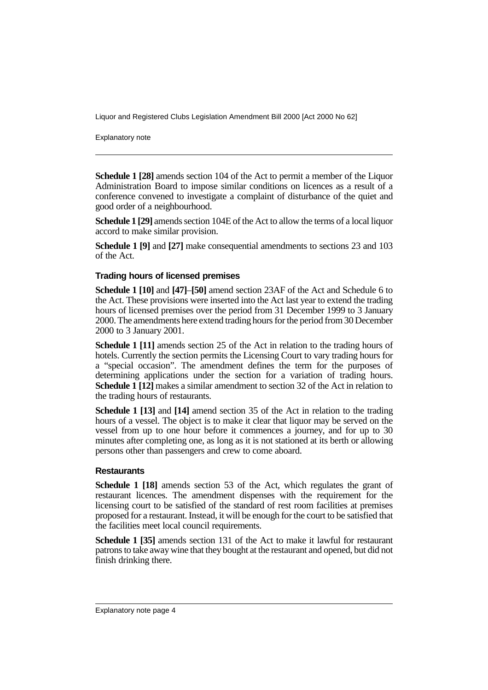Explanatory note

**Schedule 1 [28]** amends section 104 of the Act to permit a member of the Liquor Administration Board to impose similar conditions on licences as a result of a conference convened to investigate a complaint of disturbance of the quiet and good order of a neighbourhood.

**Schedule 1 [29]** amends section 104E of the Act to allow the terms of a local liquor accord to make similar provision.

**Schedule 1 [9]** and **[27]** make consequential amendments to sections 23 and 103 of the Act.

#### **Trading hours of licensed premises**

**Schedule 1 [10]** and **[47]**–**[50]** amend section 23AF of the Act and Schedule 6 to the Act. These provisions were inserted into the Act last year to extend the trading hours of licensed premises over the period from 31 December 1999 to 3 January 2000. The amendments here extend trading hours for the period from 30 December 2000 to 3 January 2001.

**Schedule 1 [11]** amends section 25 of the Act in relation to the trading hours of hotels. Currently the section permits the Licensing Court to vary trading hours for a "special occasion". The amendment defines the term for the purposes of determining applications under the section for a variation of trading hours. **Schedule 1 [12]** makes a similar amendment to section 32 of the Act in relation to the trading hours of restaurants.

**Schedule 1 [13]** and **[14]** amend section 35 of the Act in relation to the trading hours of a vessel. The object is to make it clear that liquor may be served on the vessel from up to one hour before it commences a journey, and for up to 30 minutes after completing one, as long as it is not stationed at its berth or allowing persons other than passengers and crew to come aboard.

#### **Restaurants**

**Schedule 1 [18]** amends section 53 of the Act, which regulates the grant of restaurant licences. The amendment dispenses with the requirement for the licensing court to be satisfied of the standard of rest room facilities at premises proposed for a restaurant. Instead, it will be enough for the court to be satisfied that the facilities meet local council requirements.

**Schedule 1 [35]** amends section 131 of the Act to make it lawful for restaurant patrons to take away wine that they bought at the restaurant and opened, but did not finish drinking there.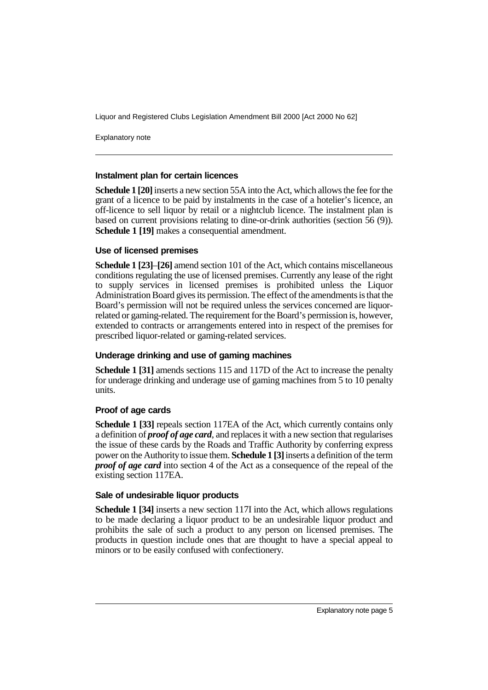Explanatory note

#### **Instalment plan for certain licences**

**Schedule 1 [20]** inserts a new section 55A into the Act, which allows the fee for the grant of a licence to be paid by instalments in the case of a hotelier's licence, an off-licence to sell liquor by retail or a nightclub licence. The instalment plan is based on current provisions relating to dine-or-drink authorities (section 56 (9)). **Schedule 1 [19]** makes a consequential amendment.

#### **Use of licensed premises**

**Schedule 1 [23]**–**[26]** amend section 101 of the Act, which contains miscellaneous conditions regulating the use of licensed premises. Currently any lease of the right to supply services in licensed premises is prohibited unless the Liquor Administration Board gives its permission. The effect of the amendments is that the Board's permission will not be required unless the services concerned are liquorrelated or gaming-related. The requirement for the Board's permission is, however, extended to contracts or arrangements entered into in respect of the premises for prescribed liquor-related or gaming-related services.

#### **Underage drinking and use of gaming machines**

**Schedule 1 [31]** amends sections 115 and 117D of the Act to increase the penalty for underage drinking and underage use of gaming machines from 5 to 10 penalty units.

#### **Proof of age cards**

**Schedule 1 [33]** repeals section 117EA of the Act, which currently contains only a definition of *proof of age card*, and replaces it with a new section that regularises the issue of these cards by the Roads and Traffic Authority by conferring express power on the Authority to issue them. **Schedule 1 [3]** inserts a definition of the term *proof of age card* into section 4 of the Act as a consequence of the repeal of the existing section 117EA.

#### **Sale of undesirable liquor products**

**Schedule 1 [34]** inserts a new section 117I into the Act, which allows regulations to be made declaring a liquor product to be an undesirable liquor product and prohibits the sale of such a product to any person on licensed premises. The products in question include ones that are thought to have a special appeal to minors or to be easily confused with confectionery.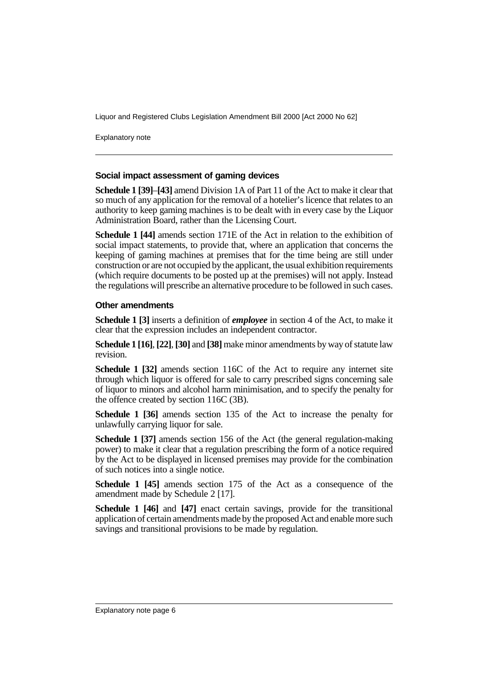Explanatory note

#### **Social impact assessment of gaming devices**

**Schedule 1 [39]**–**[43]** amend Division 1A of Part 11 of the Act to make it clear that so much of any application for the removal of a hotelier's licence that relates to an authority to keep gaming machines is to be dealt with in every case by the Liquor Administration Board, rather than the Licensing Court.

**Schedule 1 [44]** amends section 171E of the Act in relation to the exhibition of social impact statements, to provide that, where an application that concerns the keeping of gaming machines at premises that for the time being are still under construction or are not occupied by the applicant, the usual exhibition requirements (which require documents to be posted up at the premises) will not apply. Instead the regulations will prescribe an alternative procedure to be followed in such cases.

#### **Other amendments**

**Schedule 1 [3]** inserts a definition of *employee* in section 4 of the Act, to make it clear that the expression includes an independent contractor.

**Schedule 1 [16]**, **[22]**, **[30]** and **[38]** make minor amendments by way of statute law revision.

**Schedule 1 [32]** amends section 116C of the Act to require any internet site through which liquor is offered for sale to carry prescribed signs concerning sale of liquor to minors and alcohol harm minimisation, and to specify the penalty for the offence created by section 116C (3B).

**Schedule 1 [36]** amends section 135 of the Act to increase the penalty for unlawfully carrying liquor for sale.

**Schedule 1 [37]** amends section 156 of the Act (the general regulation-making power) to make it clear that a regulation prescribing the form of a notice required by the Act to be displayed in licensed premises may provide for the combination of such notices into a single notice.

**Schedule 1 [45]** amends section 175 of the Act as a consequence of the amendment made by Schedule 2 [17].

**Schedule 1 [46]** and **[47]** enact certain savings, provide for the transitional application of certain amendments made by the proposed Act and enable more such savings and transitional provisions to be made by regulation.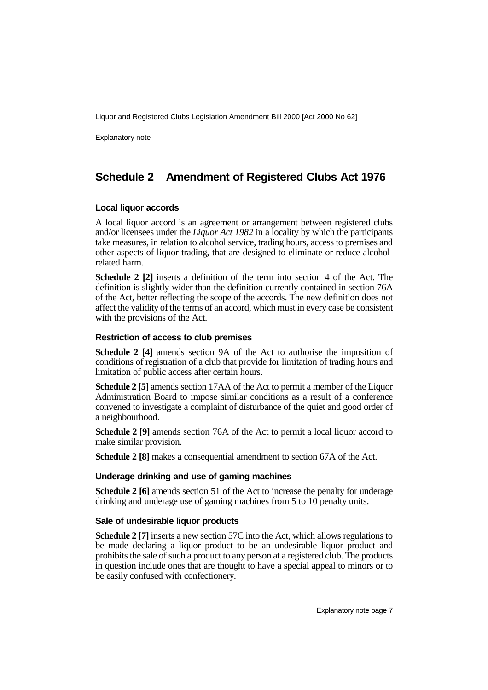Explanatory note

## **Schedule 2 Amendment of Registered Clubs Act 1976**

#### **Local liquor accords**

A local liquor accord is an agreement or arrangement between registered clubs and/or licensees under the *Liquor Act 1982* in a locality by which the participants take measures, in relation to alcohol service, trading hours, access to premises and other aspects of liquor trading, that are designed to eliminate or reduce alcoholrelated harm.

**Schedule 2 [2]** inserts a definition of the term into section 4 of the Act. The definition is slightly wider than the definition currently contained in section 76A of the Act, better reflecting the scope of the accords. The new definition does not affect the validity of the terms of an accord, which must in every case be consistent with the provisions of the Act.

#### **Restriction of access to club premises**

**Schedule 2 [4]** amends section 9A of the Act to authorise the imposition of conditions of registration of a club that provide for limitation of trading hours and limitation of public access after certain hours.

**Schedule 2 [5]** amends section 17AA of the Act to permit a member of the Liquor Administration Board to impose similar conditions as a result of a conference convened to investigate a complaint of disturbance of the quiet and good order of a neighbourhood.

**Schedule 2 [9]** amends section 76A of the Act to permit a local liquor accord to make similar provision.

**Schedule 2 [8]** makes a consequential amendment to section 67A of the Act.

#### **Underage drinking and use of gaming machines**

**Schedule 2 [6]** amends section 51 of the Act to increase the penalty for underage drinking and underage use of gaming machines from 5 to 10 penalty units.

#### **Sale of undesirable liquor products**

**Schedule 2 [7]** inserts a new section 57C into the Act, which allows regulations to be made declaring a liquor product to be an undesirable liquor product and prohibits the sale of such a product to any person at a registered club. The products in question include ones that are thought to have a special appeal to minors or to be easily confused with confectionery.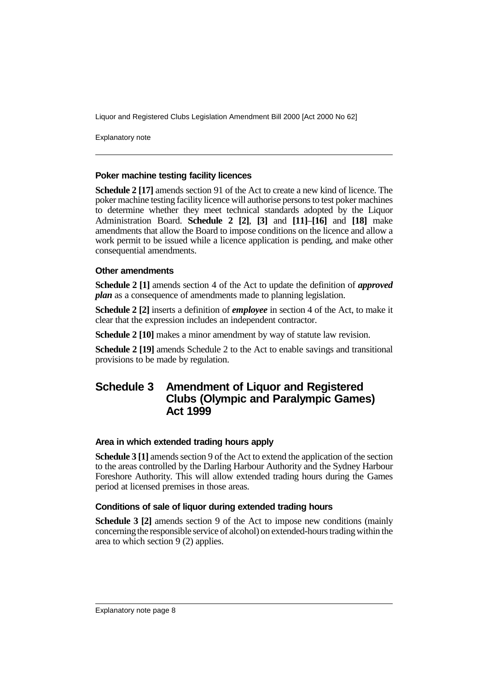Explanatory note

#### **Poker machine testing facility licences**

**Schedule 2 [17]** amends section 91 of the Act to create a new kind of licence. The poker machine testing facility licence will authorise persons to test poker machines to determine whether they meet technical standards adopted by the Liquor Administration Board. **Schedule 2 [2]**, **[3]** and **[11]**–**[16]** and **[18]** make amendments that allow the Board to impose conditions on the licence and allow a work permit to be issued while a licence application is pending, and make other consequential amendments.

#### **Other amendments**

**Schedule 2 [1]** amends section 4 of the Act to update the definition of *approved plan* as a consequence of amendments made to planning legislation.

**Schedule 2 [2]** inserts a definition of *employee* in section 4 of the Act, to make it clear that the expression includes an independent contractor.

**Schedule 2 [10]** makes a minor amendment by way of statute law revision.

**Schedule 2 [19]** amends Schedule 2 to the Act to enable savings and transitional provisions to be made by regulation.

## **Schedule 3 Amendment of Liquor and Registered Clubs (Olympic and Paralympic Games) Act 1999**

#### **Area in which extended trading hours apply**

**Schedule 3 [1]** amends section 9 of the Act to extend the application of the section to the areas controlled by the Darling Harbour Authority and the Sydney Harbour Foreshore Authority. This will allow extended trading hours during the Games period at licensed premises in those areas.

#### **Conditions of sale of liquor during extended trading hours**

**Schedule 3 [2]** amends section 9 of the Act to impose new conditions (mainly concerning the responsible service of alcohol) on extended-hours trading within the area to which section 9 (2) applies.